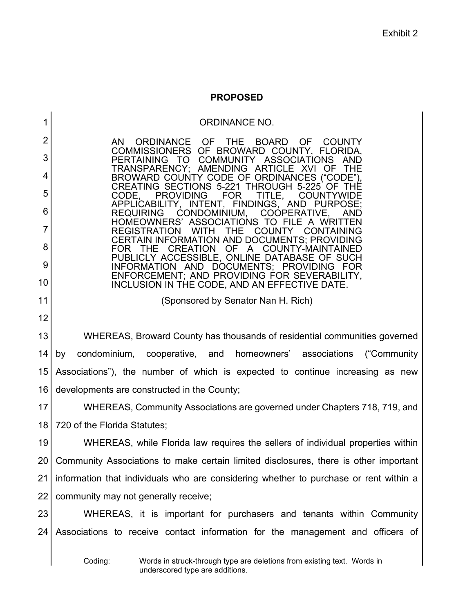## **PROPOSED**

1 2 3 4 5 6 7 8 9 10 11 12 13 14 15 16 17 18 19 20 21 22 23  $24<sub>1</sub>$ ORDINANCE NO. AN ORDINANCE OF THE BOARD OF COUNTY<br>COMMISSIONERS OF BROWARD COUNTY, FLORIDA, COMMISSIONERS OF BROWARD COUNTY,<br>PERTAINING TO COMMUNITY ASSOCIATI COMMUNITY ASSOCIATIONS AND TRANSPARENCY; AMENDING ARTICLE XVI OF THE CREATING SECTIONS 5-221 THROUGH 5-225 OF THE<br>CODE, PROVIDING FOR TITLE, COUNTYWIDE DING FOR TITLE, COUNTYWIDE<br>INTENT, FINDINGS, AND-PURPOSE; APPLICABILITY, INTENT, FINDINGS, AND PUI<br>REQUIRING CONDOMINIUM, COOPERATIVE CONDOMINIUM, COOPERATIVE, AND HOMEOWNERS' ASSOCIATIONS TO FILE A WRITTEN REGISTRATION CERTAIN INFORMATION AND DOCUMENTS; PROVIDING FOR THE CREATION OF A COUNTY-MAINTAINED PUBLICLY ACCESSIBLE, ONLINE DATABASE OF SUCH INFORMATION AND DOCUMENTS; PROVIDING FOR ENFORCEMENT; AND PROVIDING FOR SEVERABILITY, INCLUSION IN THE CODE, AND AN EFFECTIVE DATE. (Sponsored by Senator Nan H. Rich) WHEREAS, Broward County has thousands of residential communities governed by condominium, cooperative, and homeowners' associations ("Community Associations"), the number of which is expected to continue increasing as new developments are constructed in the County; WHEREAS, Community Associations are governed under Chapters 718, 719, and 720 of the Florida Statutes; WHEREAS, while Florida law requires the sellers of individual properties within Community Associations to make certain limited disclosures, there is other important information that individuals who are considering whether to purchase or rent within a community may not generally receive; WHEREAS, it is important for purchasers and tenants within Community Associations to receive contact information for the management and officers of

Coding: Words in struck-through type are deletions from existing text. Words in underscored type are additions.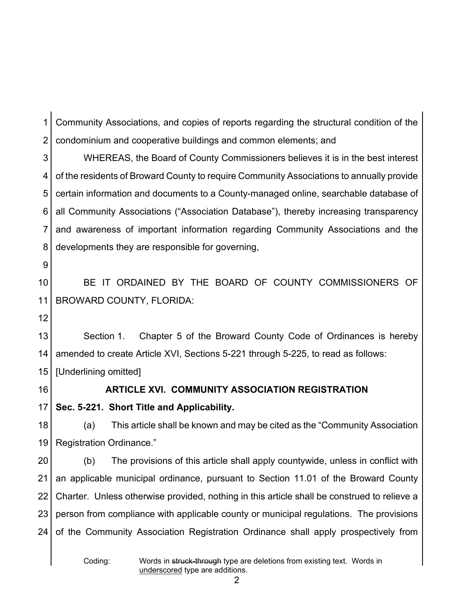1 2 Community Associations, and copies of reports regarding the structural condition of the condominium and cooperative buildings and common elements; and

3 4 5 6 7 8 WHEREAS, the Board of County Commissioners believes it is in the best interest of the residents of Broward County to require Community Associations to annually provide certain information and documents to a County-managed online, searchable database of all Community Associations ("Association Database"), thereby increasing transparency and awareness of important information regarding Community Associations and the developments they are responsible for governing,

9

10 11 BE IT ORDAINED BY THE BOARD OF COUNTY COMMISSIONERS OF BROWARD COUNTY, FLORIDA:

12

13 14 15 Section 1. Chapter 5 of the Broward County Code of Ordinances is hereby amended to create Article XVI, Sections 5-221 through 5-225, to read as follows: [Underlining omitted]

16

# **ARTICLE XVI. COMMUNITY ASSOCIATION REGISTRATION**

17 **Sec. 5-221. Short Title and Applicability.**

18 19 (a) This article shall be known and may be cited as the "Community Association Registration Ordinance."

20 21 22 23 24 (b) The provisions of this article shall apply countywide, unless in conflict with an applicable municipal ordinance, pursuant to Section 11.01 of the Broward County Charter. Unless otherwise provided, nothing in this article shall be construed to relieve a person from compliance with applicable county or municipal regulations. The provisions of the Community Association Registration Ordinance shall apply prospectively from

Coding: Words in struck-through type are deletions from existing text. Words in underscored type are additions.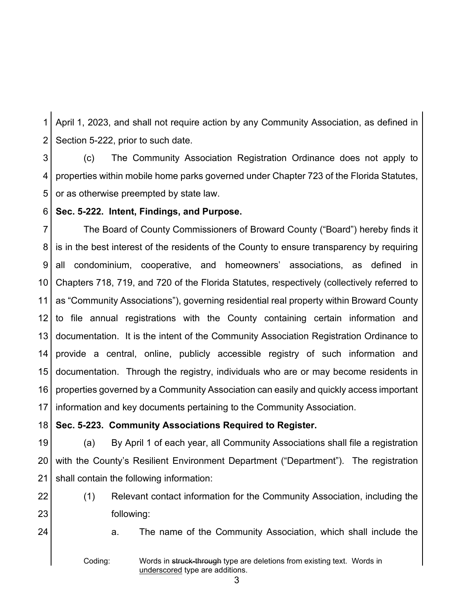1 2 April 1, 2023, and shall not require action by any Community Association, as defined in Section 5-222, prior to such date.

3 4 5 (c) The Community Association Registration Ordinance does not apply to properties within mobile home parks governed under Chapter 723 of the Florida Statutes, or as otherwise preempted by state law.

6 **Sec. 5-222. Intent, Findings, and Purpose.**

7 8 9 10 11 12 13 14 15 16 17 The Board of County Commissioners of Broward County ("Board") hereby finds it is in the best interest of the residents of the County to ensure transparency by requiring all condominium, cooperative, and homeowners' associations, as defined in Chapters 718, 719, and 720 of the Florida Statutes, respectively (collectively referred to as "Community Associations"), governing residential real property within Broward County to file annual registrations with the County containing certain information and documentation. It is the intent of the Community Association Registration Ordinance to provide a central, online, publicly accessible registry of such information and documentation. Through the registry, individuals who are or may become residents in properties governed by a Community Association can easily and quickly access important information and key documents pertaining to the Community Association.

18 **Sec. 5-223. Community Associations Required to Register.**

19 20 21 (a) By April 1 of each year, all Community Associations shall file a registration with the County's Resilient Environment Department ("Department"). The registration shall contain the following information:

- 22 23
- (1) Relevant contact information for the Community Association, including the following:
- 24

a. The name of the Community Association, which shall include the

Coding: Words in struck-through type are deletions from existing text. Words in underscored type are additions.

3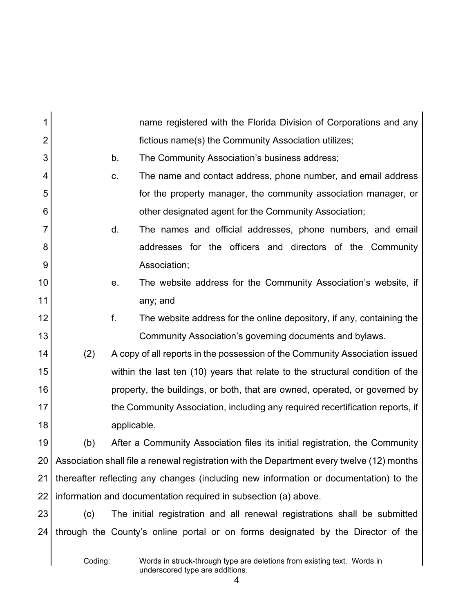| 1              |                                                                                            |             | name registered with the Florida Division of Corporations and any                |
|----------------|--------------------------------------------------------------------------------------------|-------------|----------------------------------------------------------------------------------|
| $\overline{2}$ |                                                                                            |             | fictious name(s) the Community Association utilizes;                             |
| 3              |                                                                                            | b.          | The Community Association's business address;                                    |
| 4              |                                                                                            | C.          | The name and contact address, phone number, and email address                    |
| 5              |                                                                                            |             | for the property manager, the community association manager, or                  |
| 6              |                                                                                            |             | other designated agent for the Community Association;                            |
| 7              |                                                                                            | d.          | The names and official addresses, phone numbers, and email                       |
| 8              |                                                                                            |             | addresses for the officers and directors of the Community                        |
| 9              |                                                                                            |             | Association;                                                                     |
| 10             |                                                                                            | е.          | The website address for the Community Association's website, if                  |
| 11             |                                                                                            |             | any; and                                                                         |
| 12             |                                                                                            | f.          | The website address for the online depository, if any, containing the            |
| 13             |                                                                                            |             | Community Association's governing documents and bylaws.                          |
| 14             | (2)                                                                                        |             | A copy of all reports in the possession of the Community Association issued      |
| 15             |                                                                                            |             | within the last ten (10) years that relate to the structural condition of the    |
| 16             |                                                                                            |             | property, the buildings, or both, that are owned, operated, or governed by       |
| 17             |                                                                                            |             | the Community Association, including any required recertification reports, if    |
| 18             |                                                                                            | applicable. |                                                                                  |
| 19             | (b)                                                                                        |             | After a Community Association files its initial registration, the Community      |
| 20             | Association shall file a renewal registration with the Department every twelve (12) months |             |                                                                                  |
| 21             | thereafter reflecting any changes (including new information or documentation) to the      |             |                                                                                  |
| 22             | information and documentation required in subsection (a) above.                            |             |                                                                                  |
| 23             | (c)                                                                                        |             | The initial registration and all renewal registrations shall be submitted        |
| 24             |                                                                                            |             | through the County's online portal or on forms designated by the Director of the |
|                | Coding:                                                                                    |             | Words in struck-through type are deletions from existing text. Words in          |

Coding: Words in <del>struck-through</del> type are deletions from existing text. Words in underscored type are additions.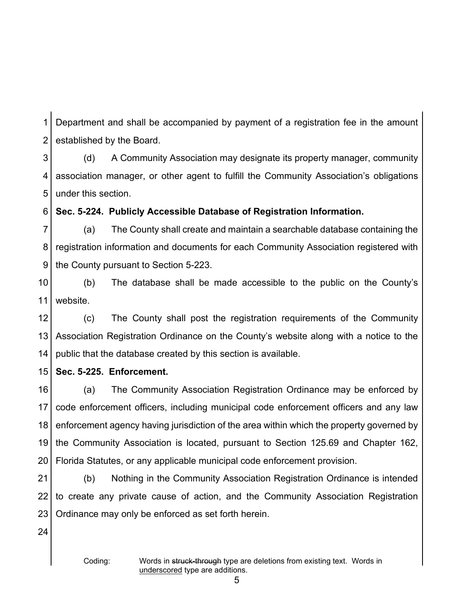1 2 Department and shall be accompanied by payment of a registration fee in the amount established by the Board.

3 4 5 (d) A Community Association may designate its property manager, community association manager, or other agent to fulfill the Community Association's obligations under this section.

6 **Sec. 5-224. Publicly Accessible Database of Registration Information.**

7 8 9 (a) The County shall create and maintain a searchable database containing the registration information and documents for each Community Association registered with the County pursuant to Section 5-223.

10 11 (b) The database shall be made accessible to the public on the County's website.

12 13 14 (c) The County shall post the registration requirements of the Community Association Registration Ordinance on the County's website along with a notice to the public that the database created by this section is available.

15 **Sec. 5-225. Enforcement.**

16 17 18 19 20 (a) The Community Association Registration Ordinance may be enforced by code enforcement officers, including municipal code enforcement officers and any law enforcement agency having jurisdiction of the area within which the property governed by the Community Association is located, pursuant to Section 125.69 and Chapter 162, Florida Statutes, or any applicable municipal code enforcement provision.

21 22 23 (b) Nothing in the Community Association Registration Ordinance is intended to create any private cause of action, and the Community Association Registration Ordinance may only be enforced as set forth herein.

24

Coding: Words in struck-through type are deletions from existing text. Words in underscored type are additions.

5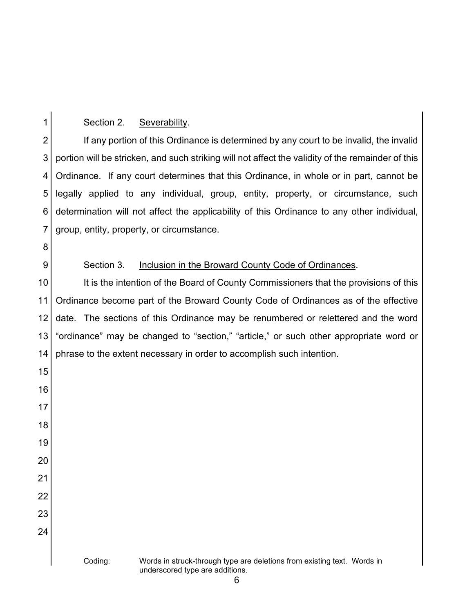#### Section 2. Severability.

 If any portion of this Ordinance is determined by any court to be invalid, the invalid portion will be stricken, and such striking will not affect the validity of the remainder of this Ordinance. If any court determines that this Ordinance, in whole or in part, cannot be legally applied to any individual, group, entity, property, or circumstance, such determination will not affect the applicability of this Ordinance to any other individual, group, entity, property, or circumstance.

## Section 3. Inclusion in the Broward County Code of Ordinances.

 It is the intention of the Board of County Commissioners that the provisions of this Ordinance become part of the Broward County Code of Ordinances as of the effective date. The sections of this Ordinance may be renumbered or relettered and the word "ordinance" may be changed to "section," "article," or such other appropriate word or phrase to the extent necessary in order to accomplish such intention.

# Coding: Words in struck-through type are deletions from existing text. Words in underscored type are additions.